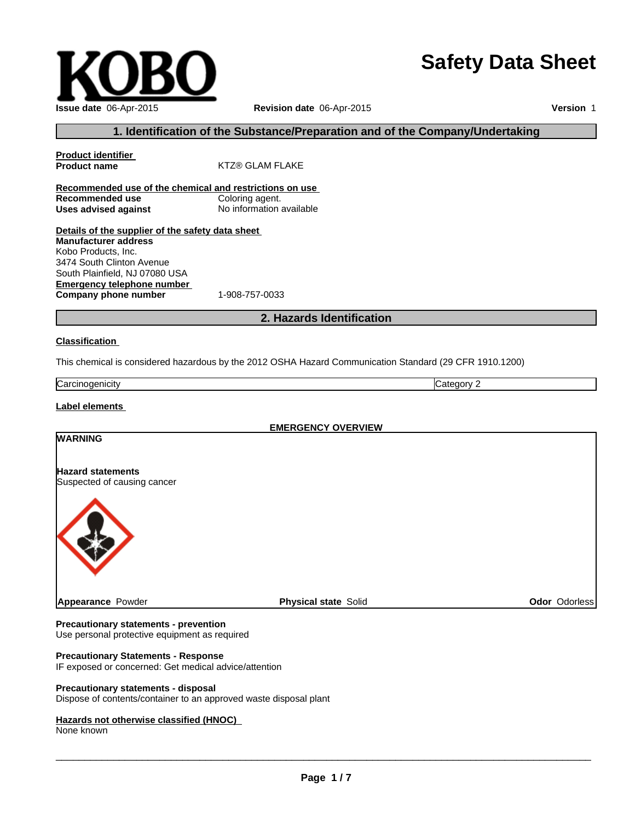# **Safety Data Sheet**

| Issue date 06-Apr-2015 |
|------------------------|

**Revision date** 06-Apr-2015

**Version** 1

# **1. Identification of the Substance/Preparation and of the Company/Undertaking**

| <b>Product identifier</b>                               |                          |
|---------------------------------------------------------|--------------------------|
| <b>Product name</b>                                     | KTZ® GLAM FLAKE          |
|                                                         |                          |
| Recommended use of the chemical and restrictions on use |                          |
| Recommended use                                         | Coloring agent.          |
| Uses advised against                                    | No information available |
|                                                         |                          |
| Details of the supplier of the safety data sheet        |                          |
| <b>Manufacturer address</b>                             |                          |
| Kobo Products. Inc.                                     |                          |
| 3474 South Clinton Avenue                               |                          |
| South Plainfield, NJ 07080 USA                          |                          |
| Emergency telephone number                              |                          |
| Company phone number                                    | 1-908-757-0033           |

# **2. Hazards Identification**

### **Classification**

This chemical is considered hazardous by the 2012 OSHA Hazard Communication Standard (29 CFR 1910.1200)

| Carcinod<br>uenicity |  |
|----------------------|--|

### **Label elements**

| <b>EMERGENCY OVERVIEW</b>                               |                             |               |  |
|---------------------------------------------------------|-----------------------------|---------------|--|
| <b>WARNING</b>                                          |                             |               |  |
| <b>Hazard statements</b><br>Suspected of causing cancer |                             |               |  |
|                                                         |                             |               |  |
| Appearance Powder                                       | <b>Physical state Solid</b> | Odor Odorless |  |

#### **Precautionary statements - prevention**

Use personal protective equipment as required

### **Precautionary Statements - Response**

IF exposed or concerned: Get medical advice/attention

### **Precautionary statements - disposal**

Dispose of contents/container to an approved waste disposal plant

#### **Hazards not otherwise classified (HNOC)**

None known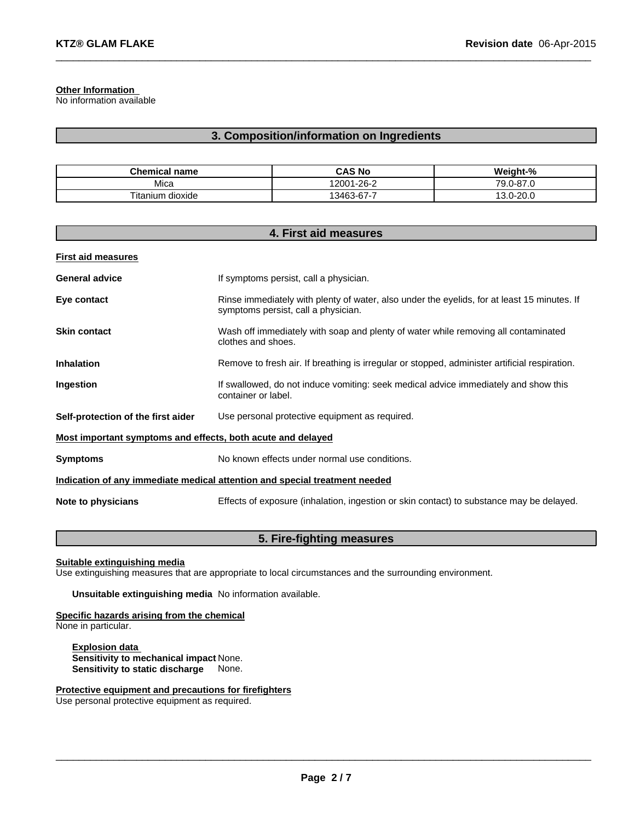### **Other Information**

No information available

### **3. Composition/information on Ingredients**

 $\_$  , and the set of the set of the set of the set of the set of the set of the set of the set of the set of the set of the set of the set of the set of the set of the set of the set of the set of the set of the set of th

| <b>Chemical name</b> | <b>CAS No</b> | Weight-%        |
|----------------------|---------------|-----------------|
| Mica                 | 12001-26-2    | 79.0-87.U       |
| Titanium<br>dioxide  | 13463-67-7    | 12<br>13.0-20.0 |

| 4. First aid measures                                                      |                                                                                                                                    |  |
|----------------------------------------------------------------------------|------------------------------------------------------------------------------------------------------------------------------------|--|
| <b>First aid measures</b>                                                  |                                                                                                                                    |  |
| <b>General advice</b>                                                      | If symptoms persist, call a physician.                                                                                             |  |
| Eye contact                                                                | Rinse immediately with plenty of water, also under the eyelids, for at least 15 minutes. If<br>symptoms persist, call a physician. |  |
| <b>Skin contact</b>                                                        | Wash off immediately with soap and plenty of water while removing all contaminated<br>clothes and shoes.                           |  |
| <b>Inhalation</b>                                                          | Remove to fresh air. If breathing is irregular or stopped, administer artificial respiration.                                      |  |
| Ingestion                                                                  | If swallowed, do not induce vomiting: seek medical advice immediately and show this<br>container or label.                         |  |
| Self-protection of the first aider                                         | Use personal protective equipment as required.                                                                                     |  |
| Most important symptoms and effects, both acute and delayed                |                                                                                                                                    |  |
| <b>Symptoms</b>                                                            | No known effects under normal use conditions.                                                                                      |  |
| Indication of any immediate medical attention and special treatment needed |                                                                                                                                    |  |
| Note to physicians                                                         | Effects of exposure (inhalation, ingestion or skin contact) to substance may be delayed.                                           |  |

# **5. Fire-fighting measures**

**Suitable extinguishing media**

Use extinguishing measures that are appropriate to local circumstances and the surrounding environment.

**Unsuitable extinguishing media** No information available.

### **Specific hazards arising from the chemical**

None in particular.

**Explosion data Sensitivity to mechanical impact** None. **Sensitivity to static discharge** None.

**Protective equipment and precautions for firefighters**

Use personal protective equipment as required.

 $\_$  , and the contribution of the contribution of the contribution of the contribution of  $\mathcal{L}_\text{max}$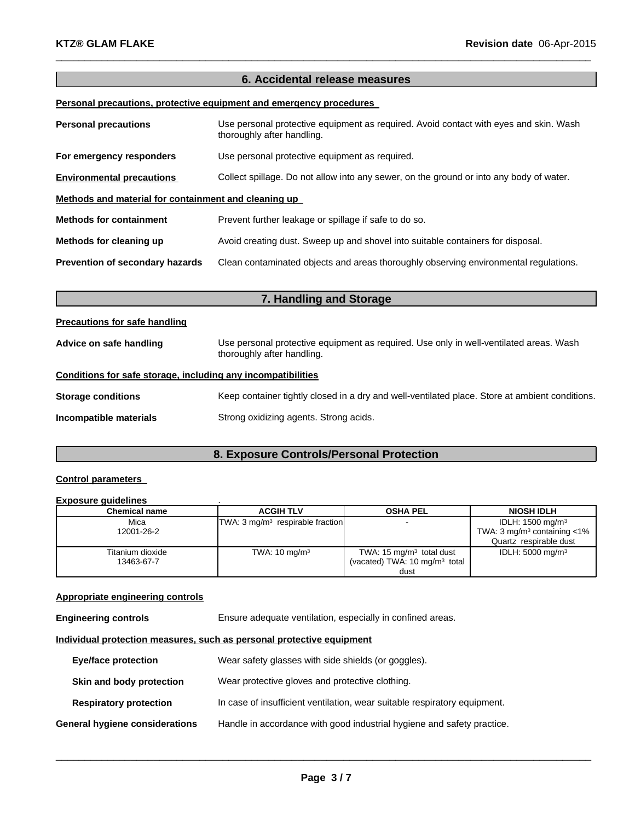## **6. Accidental release measures**

 $\_$  , and the set of the set of the set of the set of the set of the set of the set of the set of the set of the set of the set of the set of the set of the set of the set of the set of the set of the set of the set of th

### **Personal precautions, protective equipment and emergency procedures**

| <b>Personal precautions</b>                          | Use personal protective equipment as required. Avoid contact with eyes and skin. Wash<br>thoroughly after handling. |  |  |
|------------------------------------------------------|---------------------------------------------------------------------------------------------------------------------|--|--|
| For emergency responders                             | Use personal protective equipment as required.                                                                      |  |  |
| <b>Environmental precautions</b>                     | Collect spillage. Do not allow into any sewer, on the ground or into any body of water.                             |  |  |
| Methods and material for containment and cleaning up |                                                                                                                     |  |  |
| <b>Methods for containment</b>                       | Prevent further leakage or spillage if safe to do so.                                                               |  |  |
| Methods for cleaning up                              | Avoid creating dust. Sweep up and shovel into suitable containers for disposal.                                     |  |  |
| Prevention of secondary hazards                      | Clean contaminated objects and areas thoroughly observing environmental regulations.                                |  |  |

| 7. Handling and Storage                                      |                                                                                                                      |  |  |
|--------------------------------------------------------------|----------------------------------------------------------------------------------------------------------------------|--|--|
| Precautions for safe handling                                |                                                                                                                      |  |  |
| Advice on safe handling                                      | Use personal protective equipment as required. Use only in well-ventilated areas. Wash<br>thoroughly after handling. |  |  |
| Conditions for safe storage, including any incompatibilities |                                                                                                                      |  |  |
| <b>Storage conditions</b>                                    | Keep container tightly closed in a dry and well-ventilated place. Store at ambient conditions.                       |  |  |
| Incompatible materials                                       | Strong oxidizing agents. Strong acids.                                                                               |  |  |

# **8. Exposure Controls/Personal Protection**

### **Control parameters**

#### **Exposure guidelines** .

| <b>Chemical name</b> | <b>ACGIH TLV</b>                            | <b>OSHA PEL</b>                           | <b>NIOSH IDLH</b>                            |
|----------------------|---------------------------------------------|-------------------------------------------|----------------------------------------------|
| Mica                 | TWA: $3 \text{ mg/m}^3$ respirable fraction |                                           | IDLH: 1500 mg/m <sup>3</sup>                 |
| 12001-26-2           |                                             |                                           | TWA: $3 \text{ mq/m}^3$ containing $\lt 1\%$ |
|                      |                                             |                                           | Quartz respirable dust                       |
| Titanium dioxide     | TWA: $10 \text{ mg/m}^3$                    | TWA: $15 \text{ mg/m}^3$ total dust       | IDLH: $5000 \text{ mg/m}^3$                  |
| 13463-67-7           |                                             | (vacated) TWA: 10 mg/m <sup>3</sup> total |                                              |
|                      |                                             | dust                                      |                                              |

### **Appropriate engineering controls**

**Engineering controls** Ensure adequate ventilation, especially in confined areas.

### **Individual protection measures, such as personal protective equipment**

| <b>Eye/face protection</b>     | Wear safety glasses with side shields (or goggles).                       |
|--------------------------------|---------------------------------------------------------------------------|
| Skin and body protection       | Wear protective gloves and protective clothing.                           |
| <b>Respiratory protection</b>  | In case of insufficient ventilation, wear suitable respiratory equipment. |
| General hygiene considerations | Handle in accordance with good industrial hygiene and safety practice.    |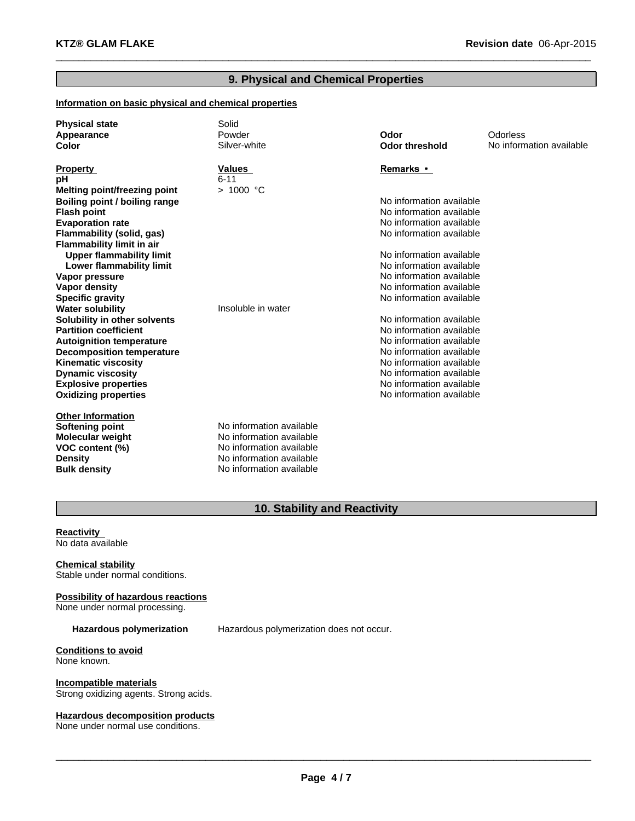# **9. Physical and Chemical Properties**

 $\_$  , and the set of the set of the set of the set of the set of the set of the set of the set of the set of the set of the set of the set of the set of the set of the set of the set of the set of the set of the set of th

### **Information on basic physical and chemical properties**

| <b>Physical state</b>               | Solid                    |                          |                          |
|-------------------------------------|--------------------------|--------------------------|--------------------------|
| Appearance                          | Powder                   | Odor                     | Odorless                 |
| Color                               | Silver-white             | <b>Odor threshold</b>    | No information available |
| <b>Property</b>                     | Values                   | Remarks •                |                          |
| pH                                  | $6 - 11$                 |                          |                          |
| <b>Melting point/freezing point</b> | > 1000 °C                |                          |                          |
| Boiling point / boiling range       |                          | No information available |                          |
| <b>Flash point</b>                  |                          | No information available |                          |
| <b>Evaporation rate</b>             |                          | No information available |                          |
| Flammability (solid, gas)           |                          | No information available |                          |
| <b>Flammability limit in air</b>    |                          |                          |                          |
| <b>Upper flammability limit</b>     |                          | No information available |                          |
| Lower flammability limit            |                          | No information available |                          |
| Vapor pressure                      |                          | No information available |                          |
| <b>Vapor density</b>                |                          | No information available |                          |
| <b>Specific gravity</b>             |                          | No information available |                          |
| <b>Water solubility</b>             | Insoluble in water       |                          |                          |
| Solubility in other solvents        |                          | No information available |                          |
| <b>Partition coefficient</b>        |                          | No information available |                          |
| <b>Autoignition temperature</b>     |                          | No information available |                          |
| <b>Decomposition temperature</b>    |                          | No information available |                          |
| <b>Kinematic viscosity</b>          |                          | No information available |                          |
| <b>Dynamic viscosity</b>            |                          | No information available |                          |
| <b>Explosive properties</b>         |                          | No information available |                          |
| <b>Oxidizing properties</b>         |                          | No information available |                          |
| <b>Other Information</b>            |                          |                          |                          |
| Softening point                     | No information available |                          |                          |
| <b>Molecular weight</b>             | No information available |                          |                          |
| VOC content (%)                     | No information available |                          |                          |
| <b>Density</b>                      | No information available |                          |                          |
| <b>Bulk density</b>                 | No information available |                          |                          |

# **10. Stability and Reactivity**

### **Reactivity** No data available

**Chemical stability** Stable under normal conditions.

**Possibility of hazardous reactions** None under normal processing.

**Hazardous polymerization** Hazardous polymerization does not occur.

**Conditions to avoid** None known.

**Incompatible materials** Strong oxidizing agents. Strong acids.

# **Hazardous decomposition products**

None under normal use conditions.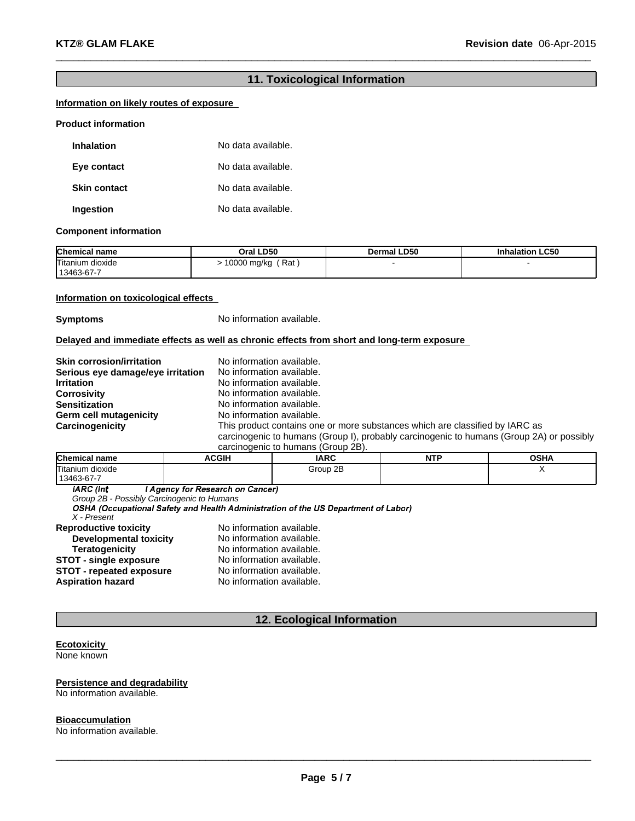# **11. Toxicological Information**

 $\_$  , and the set of the set of the set of the set of the set of the set of the set of the set of the set of the set of the set of the set of the set of the set of the set of the set of the set of the set of the set of th

### **Information on likely routes of exposure**

#### **Product information**

| <b>Inhalation</b>   | No data available. |
|---------------------|--------------------|
| Eye contact         | No data available. |
| <b>Skin contact</b> | No data available. |
| Ingestion           | No data available. |

### **Component information**

| <b>Chemical name</b>           | Oral LD50          | <b>Dermal LD50</b> | <b>Inhalation LC50</b> |
|--------------------------------|--------------------|--------------------|------------------------|
| Titanium dioxide<br>13463-67-7 | 10000 mg/kg<br>Rat |                    |                        |

### **Information on toxicological effects**

**Symptoms** No information available.

**Delayed and immediate effects as well as chronic effects from short and long-term exposure**

| <b>Skin corrosion/irritation</b><br>Serious eye damage/eye irritation<br><b>Irritation</b><br><b>Corrosivity</b><br><b>Sensitization</b><br>Germ cell mutagenicity | No information available.<br>No information available.<br>No information available.<br>No information available.<br>No information available.<br>No information available. |
|--------------------------------------------------------------------------------------------------------------------------------------------------------------------|----------------------------------------------------------------------------------------------------------------------------------------------------------------------------|
| Carcinogenicity                                                                                                                                                    | This product contains one or more substances which are classified by IARC as                                                                                               |
|                                                                                                                                                                    | carcinogenic to humans (Group I), probably carcinogenic to humans (Group 2A) or possibly                                                                                   |

carcinogenic to humans (Group 2B).

| <b>Chemical name</b> | <b>ACGIH</b> | <b>IARC</b> | .<br>N<br>. .<br>. | <b>OSHA</b> |
|----------------------|--------------|-------------|--------------------|-------------|
| Titanium dioxide     |              | 2B<br>Group |                    |             |
| 13463-67-7           |              |             |                    |             |

**IARC** (Int I Agency for Research on Cancer)

*Group 2B - Possibly Carcinogenic to Humans*

*X - Present*

| <b>Reproductive toxicity</b>    | No information available. |
|---------------------------------|---------------------------|
| <b>Developmental toxicity</b>   | No information available. |
| <b>Teratogenicity</b>           | No information available. |
| <b>STOT - single exposure</b>   | No information available. |
| <b>STOT - repeated exposure</b> | No information available. |
| Aspiration hazard               | No information available. |
|                                 |                           |

# **12. Ecological Information**

#### **Ecotoxicity** None known

### **Persistence and degradability**

No information available.

**Bioaccumulation** No information available.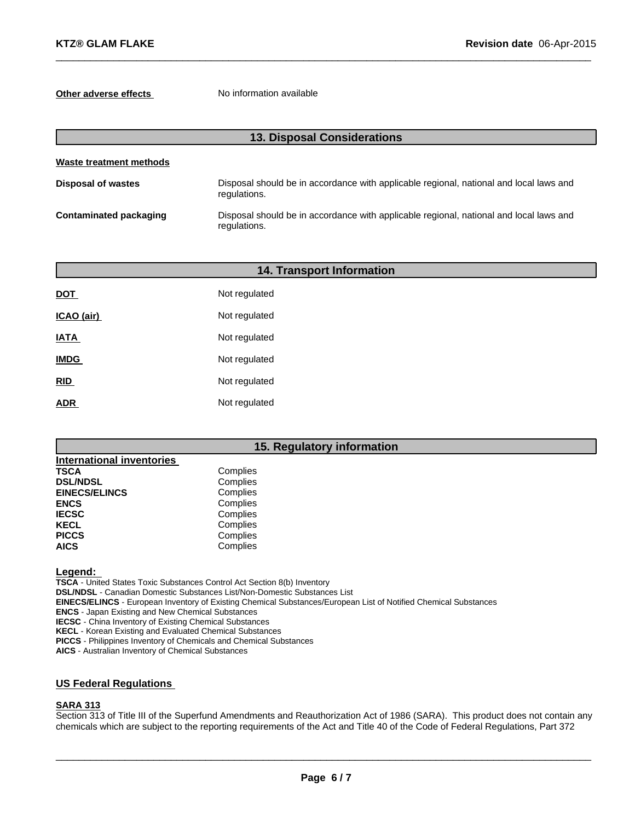### **Other adverse effects** No information available

| <b>13. Disposal Considerations</b> |                                                                                                        |  |  |
|------------------------------------|--------------------------------------------------------------------------------------------------------|--|--|
| Waste treatment methods            |                                                                                                        |  |  |
| <b>Disposal of wastes</b>          | Disposal should be in accordance with applicable regional, national and local laws and<br>regulations. |  |  |
| Contaminated packaging             | Disposal should be in accordance with applicable regional, national and local laws and<br>regulations. |  |  |

 $\_$  , and the set of the set of the set of the set of the set of the set of the set of the set of the set of the set of the set of the set of the set of the set of the set of the set of the set of the set of the set of th

| <b>14. Transport Information</b> |               |  |  |
|----------------------------------|---------------|--|--|
| <b>DOT</b>                       | Not regulated |  |  |
| ICAO (air)                       | Not regulated |  |  |
| <b>IATA</b>                      | Not regulated |  |  |
| <b>IMDG</b>                      | Not regulated |  |  |
| RID                              | Not regulated |  |  |
| <b>ADR</b>                       | Not regulated |  |  |
|                                  |               |  |  |

### **15. Regulatory information**

| <b>International inventories</b> |          |
|----------------------------------|----------|
| <b>TSCA</b>                      | Complies |
| <b>DSL/NDSL</b>                  | Complies |
| <b>EINECS/ELINCS</b>             | Complies |
| <b>ENCS</b>                      | Complies |
| <b>IECSC</b>                     | Complies |
| <b>KECL</b>                      | Complies |
| <b>PICCS</b>                     | Complies |
| <b>AICS</b>                      | Complies |

**Legend:**

**TSCA** - United States Toxic Substances Control Act Section 8(b) Inventory

**DSL/NDSL** - Canadian Domestic Substances List/Non-Domestic Substances List

**EINECS/ELINCS** - European Inventory of Existing Chemical Substances/European List of Notified Chemical Substances

**ENCS** - Japan Existing and New Chemical Substances

**IECSC** - China Inventory of Existing Chemical Substances

**KECL** - Korean Existing and Evaluated Chemical Substances

**PICCS** - Philippines Inventory of Chemicals and Chemical Substances

**AICS** - Australian Inventory of Chemical Substances

# **US Federal Regulations**

### **SARA 313**

Section 313 of Title III of the Superfund Amendments and Reauthorization Act of 1986 (SARA). This product does not contain any chemicals which are subject to the reporting requirements of the Act and Title 40 of the Code of Federal Regulations, Part 372

 $\_$  ,  $\_$  ,  $\_$  ,  $\_$  ,  $\_$  ,  $\_$  ,  $\_$  ,  $\_$  ,  $\_$  ,  $\_$  ,  $\_$  ,  $\_$  ,  $\_$  ,  $\_$  ,  $\_$  ,  $\_$  ,  $\_$  ,  $\_$  ,  $\_$  ,  $\_$  ,  $\_$  ,  $\_$  ,  $\_$  ,  $\_$  ,  $\_$  ,  $\_$  ,  $\_$  ,  $\_$  ,  $\_$  ,  $\_$  ,  $\_$  ,  $\_$  ,  $\_$  ,  $\_$  ,  $\_$  ,  $\_$  ,  $\_$  ,